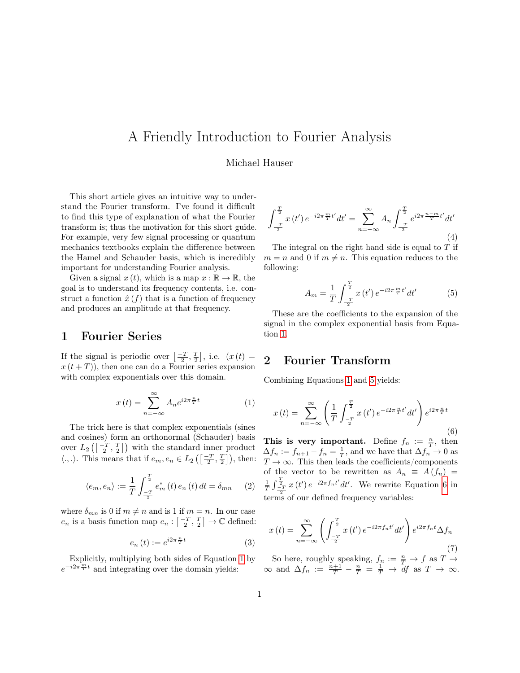# A Friendly Introduction to Fourier Analysis

#### Michael Hauser

This short article gives an intuitive way to understand the Fourier transform. I've found it difficult to find this type of explanation of what the Fourier transform is; thus the motivation for this short guide. For example, very few signal processing or quantum mechanics textbooks explain the difference between the Hamel and Schauder basis, which is incredibly important for understanding Fourier analysis.

Given a signal  $x(t)$ , which is a map  $x : \mathbb{R} \to \mathbb{R}$ , the goal is to understand its frequency contents, i.e. construct a function  $\hat{x}(f)$  that is a function of frequency and produces an amplitude at that frequency.

# 1 Fourier Series

If the signal is periodic over  $\left[\frac{-T}{2}, \frac{T}{2}\right]$ , i.e.  $(x(t))$  $x(t+T)$ , then one can do a Fourier series expansion with complex exponentials over this domain.

<span id="page-0-0"></span>
$$
x(t) = \sum_{n = -\infty}^{\infty} A_n e^{i2\pi \frac{n}{T}t}
$$
 (1)

The trick here is that complex exponentials (sines and cosines) form an orthonormal (Schauder) basis over  $L_2\left(\left[\frac{-T}{2}, \frac{T}{2}\right]\right)$  with the standard inner product  $\langle .,.\rangle$ . This means that if  $e_m, e_n \in L_2\left(\left[\frac{-T}{2}, \frac{T}{2}\right]\right)$ , then:

<span id="page-0-4"></span>
$$
\langle e_m, e_n \rangle := \frac{1}{T} \int_{\frac{-T}{2}}^{\frac{T}{2}} e_m^* (t) e_n (t) dt = \delta_{mn} \qquad (2)
$$

where  $\delta_{mn}$  is 0 if  $m \neq n$  and is 1 if  $m = n$ . In our case  $e_n$  is a basis function map  $e_n: \left[\frac{-T}{2}, \frac{T}{2}\right] \to \mathbb{C}$  defined:

<span id="page-0-3"></span>
$$
e_n\left(t\right) := e^{i2\pi \frac{n}{T}t} \tag{3}
$$

Explicitly, multiplying both sides of Equation [1](#page-0-0) by  $e^{-i2\pi \frac{m}{T}t}$  and integrating over the domain yields:

$$
\int_{\frac{-T}{2}}^{\frac{T}{2}} x(t') e^{-i2\pi \frac{m}{T}t'} dt' = \sum_{n=-\infty}^{\infty} A_n \int_{\frac{-T}{2}}^{\frac{T}{2}} e^{i2\pi \frac{n-m}{T}t'} dt'
$$
\n(4)

The integral on the right hand side is equal to  $T$  if  $m = n$  and 0 if  $m \neq n$ . This equation reduces to the following:

<span id="page-0-1"></span>
$$
A_m = \frac{1}{T} \int_{\frac{-T}{2}}^{\frac{T}{2}} x(t') e^{-i2\pi \frac{m}{T}t'} dt'
$$
 (5)

These are the coefficients to the expansion of the signal in the complex exponential basis from Equation [1.](#page-0-0)

# 2 Fourier Transform

Combining Equations [1](#page-0-0) and [5](#page-0-1) yields:

<span id="page-0-2"></span>
$$
x(t) = \sum_{n = -\infty}^{\infty} \left( \frac{1}{T} \int_{\frac{-T}{2}}^{\frac{T}{2}} x(t') e^{-i2\pi \frac{n}{T}t'} dt' \right) e^{i2\pi \frac{n}{T}t}
$$
(6)

This is very important. Define  $f_n := \frac{n}{T}$ , then  $\Delta f_n := f_{n+1} - f_n = \frac{1}{T}$ , and we have that  $\Delta f_n \to 0$  as  $T\rightarrow\infty.$  This then leads the coefficients/components of the vector to be rewritten as  $A_n \equiv A(f_n) =$  $\frac{1}{T}\int_{-\frac{T}{2}}^{\frac{T}{2}} x(t') e^{-i2\pi f_n t'} dt'$ . We rewrite Equation [6](#page-0-2) in terms of our defined frequency variables:

$$
x(t) = \sum_{n = -\infty}^{\infty} \left( \int_{\frac{-T}{2}}^{\frac{T}{2}} x(t') e^{-i2\pi f_n t'} dt' \right) e^{i2\pi f_n t} \Delta f_n \tag{7}
$$

So here, roughly speaking,  $f_n := \frac{n}{T} \to f$  as  $T \to$  $\infty$  and  $\Delta f_n := \frac{n+1}{T} - \frac{n}{T} = \frac{1}{T} \rightarrow df$  as  $T \rightarrow \infty$ .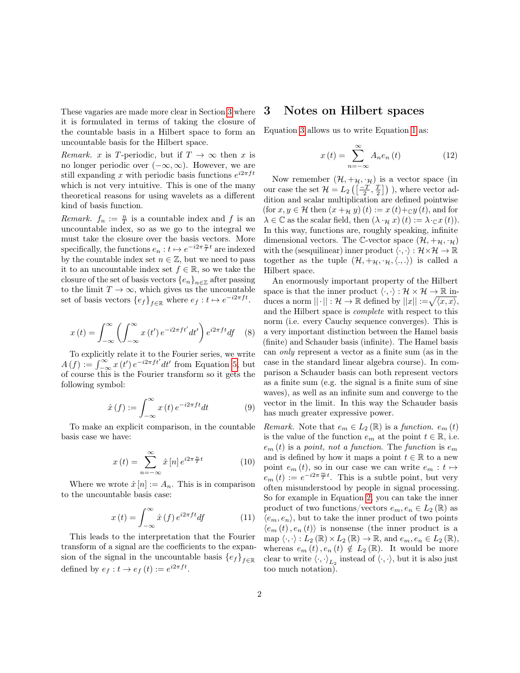These vagaries are made more clear in Section [3](#page-1-0) where it is formulated in terms of taking the closure of the countable basis in a Hilbert space to form an uncountable basis for the Hilbert space.

*Remark.* x is T-periodic, but if  $T \to \infty$  then x is no longer periodic over  $(-\infty, \infty)$ . However, we are still expanding x with periodic basis functions  $e^{i2\pi ft}$ which is not very intuitive. This is one of the many theoretical reasons for using wavelets as a different kind of basis function.

*Remark.*  $f_n := \frac{n}{T}$  is a countable index and f is an uncountable index, so as we go to the integral we must take the closure over the basis vectors. More specifically, the functions  $e_n : t \mapsto e^{-i2\pi \frac{n}{T}t}$  are indexed by the countable index set  $n \in \mathbb{Z}$ , but we need to pass it to an uncountable index set  $f \in \mathbb{R}$ , so we take the closure of the set of basis vectors  $\{e_n\}_{n\in\mathbb{Z}}$  after passing to the limit  $T \to \infty$ , which gives us the uncountable set of basis vectors  $\{e_f\}_{f \in \mathbb{R}}$  where  $e_f : t \mapsto e^{-i2\pi ft}$ .

$$
x(t) = \int_{-\infty}^{\infty} \left( \int_{-\infty}^{\infty} x(t') e^{-i2\pi ft'} dt' \right) e^{i2\pi ft} df \quad (8)
$$

To explicitly relate it to the Fourier series, we write  $A(f) := \int_{-\infty}^{\infty} x(t') e^{-i2\pi ft'} dt'$  from Equation [5,](#page-0-1) but of course this is the Fourier transform so it gets the following symbol:

$$
\hat{x}(f) := \int_{-\infty}^{\infty} x(t) e^{-i2\pi ft} dt \tag{9}
$$

To make an explicit comparison, in the countable basis case we have:

$$
x(t) = \sum_{n = -\infty}^{\infty} \hat{x}[n] e^{i2\pi \frac{n}{T}t}
$$
 (10)

Where we wrote  $\hat{x}[n] := A_n$ . This is in comparison to the uncountable basis case:

$$
x(t) = \int_{-\infty}^{\infty} \hat{x}(f) e^{i2\pi ft} df
$$
 (11)

This leads to the interpretation that the Fourier transform of a signal are the coefficients to the expansion of the signal in the uncountable basis  ${e_f}_{f\in\mathbb{R}}$ defined by  $e_f: t \to e_f(t) := e^{i2\pi ft}$ .

# <span id="page-1-0"></span>3 Notes on Hilbert spaces

Equation [3](#page-0-3) allows us to write Equation [1](#page-0-0) as:

<span id="page-1-1"></span>
$$
x(t) = \sum_{n = -\infty}^{\infty} A_n e_n(t)
$$
 (12)

Now remember  $(\mathcal{H}, +\mathcal{H}, \cdot \mathcal{H})$  is a vector space (in our case the set  $\mathcal{H} = L_2\left(\left[\frac{-T}{2}, \frac{T}{2}\right]\right)$  ), where vector addition and scalar multiplication are defined pointwise (for  $x, y \in \mathcal{H}$  then  $(x +_{\mathcal{H}} y)(t) := x(t)+_{\mathbb{C}} y(t)$ , and for  $\lambda \in \mathbb{C}$  as the scalar field, then  $(\lambda \cdot_{\mathcal{H}} x)(t) := \lambda \cdot_{\mathbb{C}} x(t)$ . In this way, functions are, roughly speaking, infinite dimensional vectors. The C-vector space  $(\mathcal{H}, +_{\mathcal{H}}, \cdot_{\mathcal{H}})$ with the (sesquilinear) inner product  $\langle \cdot, \cdot \rangle : \mathcal{H} \times \mathcal{H} \to \mathbb{R}$ together as the tuple  $(\mathcal{H}, +\mathcal{H}, \cdot\mathcal{H}, \langle.,.\rangle)$  is called a Hilbert space.

An enormously important property of the Hilbert space is that the inner product  $\langle \cdot, \cdot \rangle : \mathcal{H} \times \mathcal{H} \to \mathbb{R}$  induces a norm  $||\cdot||: \mathcal{H} \to \mathbb{R}$  defined by  $||x|| := \sqrt{\langle x, x \rangle},$ and the Hilbert space is complete with respect to this norm (i.e. every Cauchy sequence converges). This is a very important distinction between the Hamel basis (finite) and Schauder basis (infinite). The Hamel basis can only represent a vector as a finite sum (as in the case in the standard linear algebra course). In comparison a Schauder basis can both represent vectors as a finite sum (e.g. the signal is a finite sum of sine waves), as well as an infinite sum and converge to the vector in the limit. In this way the Schauder basis has much greater expressive power.

*Remark.* Note that  $e_m \in L_2(\mathbb{R})$  is a function.  $e_m(t)$ is the value of the function  $e_m$  at the point  $t \in \mathbb{R}$ , i.e.  $e_m(t)$  is a point, not a function. The function is  $e_m$ and is defined by how it maps a point  $t \in \mathbb{R}$  to a new point  $e_m(t)$ , so in our case we can write  $e_m : t \mapsto$  $e_m(t) := e^{-i2\pi \frac{m}{T}t}$ . This is a subtle point, but very often misunderstood by people in signal processing. So for example in Equation [2,](#page-0-4) you can take the inner product of two functions/vectors  $e_m, e_n \in L_2(\mathbb{R})$  as  $\langle e_m, e_n \rangle$ , but to take the inner product of two points  $\langle e_m(t), e_n(t) \rangle$  is nonsense (the inner product is a map  $\langle \cdot, \cdot \rangle : L_2(\mathbb{R}) \times L_2(\mathbb{R}) \to \mathbb{R}$ , and  $e_m, e_n \in L_2(\mathbb{R})$ , whereas  $e_m(t)$ ,  $e_n(t) \notin L_2(\mathbb{R})$ . It would be more clear to write  $\langle \cdot, \cdot \rangle_{L_2}$  instead of  $\langle \cdot, \cdot \rangle$ , but it is also just too much notation).